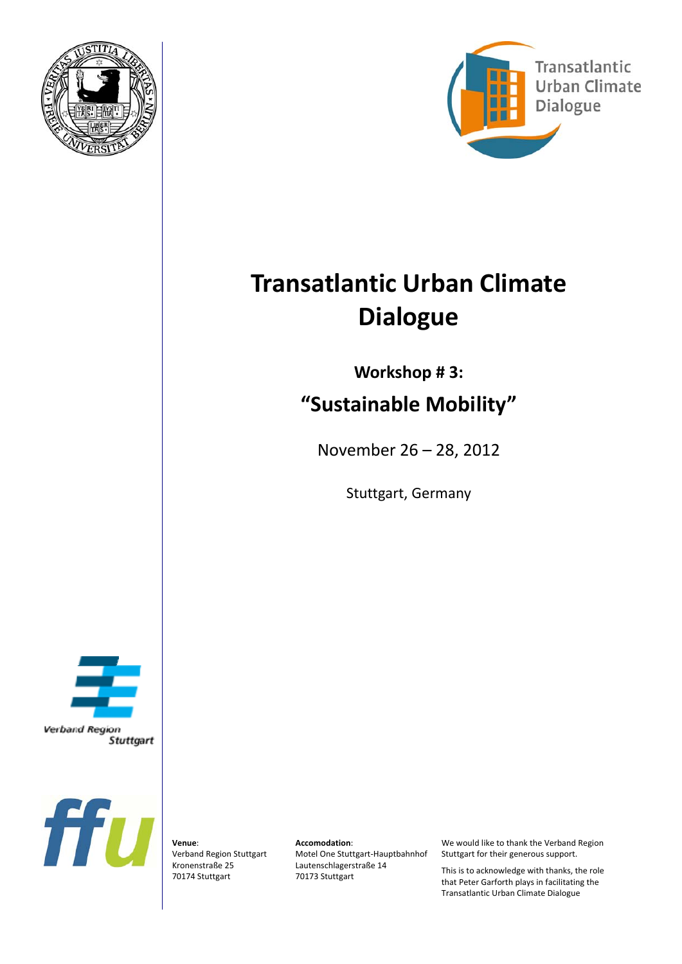



# **Transatlantic Urban Climate Dialogue**

## **Workshop # 3: "Sustainable Mobility"**

November 26 – 28, 2012

Stuttgart, Germany





**Venue**: Verband Region Stuttgart Kronenstraße 25 70174 Stuttgart

**Accomodation**:

Motel One Stuttgart‐Hauptbahnhof Lautenschlagerstraße 14 70173 Stuttgart

We would like to thank the Verband Region Stuttgart for their generous support.

This is to acknowledge with thanks, the role that Peter Garforth plays in facilitating the Transatlantic Urban Climate Dialogue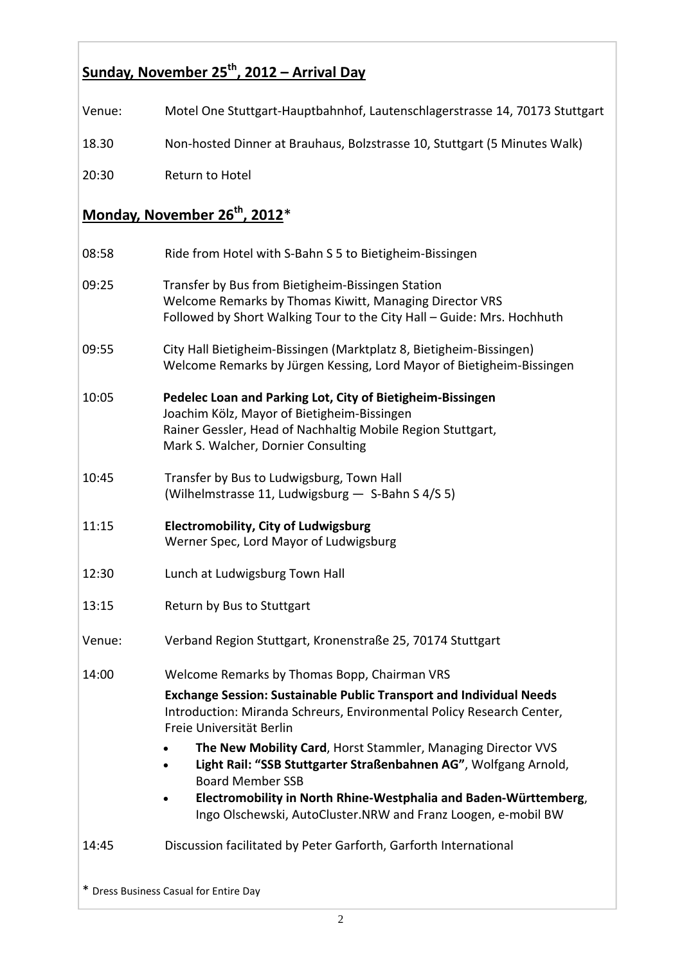### **Sunday, November 25th, 2012 – Arrival Day**

| Venue: | Motel One Stuttgart-Hauptbahnhof, Lautenschlagerstrasse 14, 70173 Stuttgart                                                                                                                                                                                                                                                                                                                                                                                                                                                                      |
|--------|--------------------------------------------------------------------------------------------------------------------------------------------------------------------------------------------------------------------------------------------------------------------------------------------------------------------------------------------------------------------------------------------------------------------------------------------------------------------------------------------------------------------------------------------------|
| 18.30  | Non-hosted Dinner at Brauhaus, Bolzstrasse 10, Stuttgart (5 Minutes Walk)                                                                                                                                                                                                                                                                                                                                                                                                                                                                        |
| 20:30  | Return to Hotel                                                                                                                                                                                                                                                                                                                                                                                                                                                                                                                                  |
|        | Monday, November 26 <sup>th</sup> , 2012 <sup>*</sup>                                                                                                                                                                                                                                                                                                                                                                                                                                                                                            |
| 08:58  | Ride from Hotel with S-Bahn S 5 to Bietigheim-Bissingen                                                                                                                                                                                                                                                                                                                                                                                                                                                                                          |
| 09:25  | Transfer by Bus from Bietigheim-Bissingen Station<br>Welcome Remarks by Thomas Kiwitt, Managing Director VRS<br>Followed by Short Walking Tour to the City Hall - Guide: Mrs. Hochhuth                                                                                                                                                                                                                                                                                                                                                           |
| 09:55  | City Hall Bietigheim-Bissingen (Marktplatz 8, Bietigheim-Bissingen)<br>Welcome Remarks by Jürgen Kessing, Lord Mayor of Bietigheim-Bissingen                                                                                                                                                                                                                                                                                                                                                                                                     |
| 10:05  | Pedelec Loan and Parking Lot, City of Bietigheim-Bissingen<br>Joachim Kölz, Mayor of Bietigheim-Bissingen<br>Rainer Gessler, Head of Nachhaltig Mobile Region Stuttgart,<br>Mark S. Walcher, Dornier Consulting                                                                                                                                                                                                                                                                                                                                  |
| 10:45  | Transfer by Bus to Ludwigsburg, Town Hall<br>(Wilhelmstrasse 11, Ludwigsburg - S-Bahn S 4/S 5)                                                                                                                                                                                                                                                                                                                                                                                                                                                   |
| 11:15  | <b>Electromobility, City of Ludwigsburg</b><br>Werner Spec, Lord Mayor of Ludwigsburg                                                                                                                                                                                                                                                                                                                                                                                                                                                            |
| 12:30  | Lunch at Ludwigsburg Town Hall                                                                                                                                                                                                                                                                                                                                                                                                                                                                                                                   |
| 13:15  | Return by Bus to Stuttgart                                                                                                                                                                                                                                                                                                                                                                                                                                                                                                                       |
| Venue: | Verband Region Stuttgart, Kronenstraße 25, 70174 Stuttgart                                                                                                                                                                                                                                                                                                                                                                                                                                                                                       |
| 14:00  | Welcome Remarks by Thomas Bopp, Chairman VRS<br><b>Exchange Session: Sustainable Public Transport and Individual Needs</b><br>Introduction: Miranda Schreurs, Environmental Policy Research Center,<br>Freie Universität Berlin<br>The New Mobility Card, Horst Stammler, Managing Director VVS<br>$\bullet$<br>Light Rail: "SSB Stuttgarter Straßenbahnen AG", Wolfgang Arnold,<br><b>Board Member SSB</b><br>Electromobility in North Rhine-Westphalia and Baden-Württemberg,<br>Ingo Olschewski, AutoCluster.NRW and Franz Loogen, e-mobil BW |
| 14:45  | Discussion facilitated by Peter Garforth, Garforth International                                                                                                                                                                                                                                                                                                                                                                                                                                                                                 |
|        |                                                                                                                                                                                                                                                                                                                                                                                                                                                                                                                                                  |

\* Dress Business Casual for Entire Day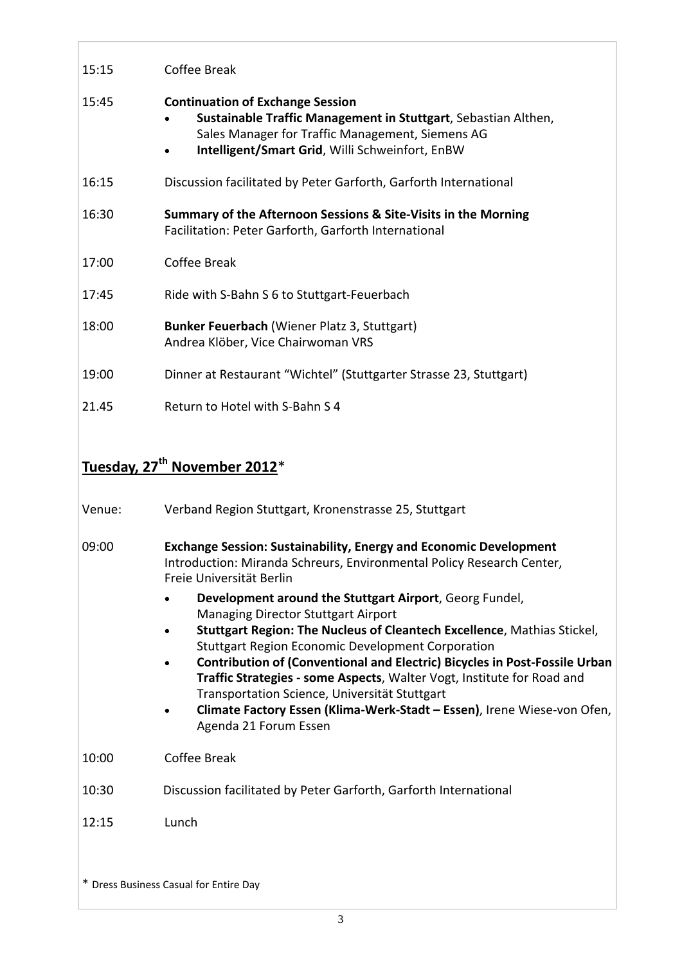| 15:15  | Coffee Break                                                                                                                                                                                                                                                                                                                                                                                                                                                                                                                                                                                        |
|--------|-----------------------------------------------------------------------------------------------------------------------------------------------------------------------------------------------------------------------------------------------------------------------------------------------------------------------------------------------------------------------------------------------------------------------------------------------------------------------------------------------------------------------------------------------------------------------------------------------------|
| 15:45  | <b>Continuation of Exchange Session</b><br>Sustainable Traffic Management in Stuttgart, Sebastian Althen,<br>Sales Manager for Traffic Management, Siemens AG<br>Intelligent/Smart Grid, Willi Schweinfort, EnBW                                                                                                                                                                                                                                                                                                                                                                                    |
| 16:15  | Discussion facilitated by Peter Garforth, Garforth International                                                                                                                                                                                                                                                                                                                                                                                                                                                                                                                                    |
| 16:30  | Summary of the Afternoon Sessions & Site-Visits in the Morning<br>Facilitation: Peter Garforth, Garforth International                                                                                                                                                                                                                                                                                                                                                                                                                                                                              |
| 17:00  | <b>Coffee Break</b>                                                                                                                                                                                                                                                                                                                                                                                                                                                                                                                                                                                 |
| 17:45  | Ride with S-Bahn S 6 to Stuttgart-Feuerbach                                                                                                                                                                                                                                                                                                                                                                                                                                                                                                                                                         |
| 18:00  | Bunker Feuerbach (Wiener Platz 3, Stuttgart)<br>Andrea Klöber, Vice Chairwoman VRS                                                                                                                                                                                                                                                                                                                                                                                                                                                                                                                  |
| 19:00  | Dinner at Restaurant "Wichtel" (Stuttgarter Strasse 23, Stuttgart)                                                                                                                                                                                                                                                                                                                                                                                                                                                                                                                                  |
| 21.45  | Return to Hotel with S-Bahn S 4                                                                                                                                                                                                                                                                                                                                                                                                                                                                                                                                                                     |
|        |                                                                                                                                                                                                                                                                                                                                                                                                                                                                                                                                                                                                     |
|        | Tuesday, 27 <sup>th</sup> November 2012 <sup>*</sup>                                                                                                                                                                                                                                                                                                                                                                                                                                                                                                                                                |
| Venue: | Verband Region Stuttgart, Kronenstrasse 25, Stuttgart                                                                                                                                                                                                                                                                                                                                                                                                                                                                                                                                               |
| 09:00  | <b>Exchange Session: Sustainability, Energy and Economic Development</b><br>Introduction: Miranda Schreurs, Environmental Policy Research Center,<br>Freie Universität Berlin                                                                                                                                                                                                                                                                                                                                                                                                                       |
|        | Development around the Stuttgart Airport, Georg Fundel,<br><b>Managing Director Stuttgart Airport</b><br>$\blacksquare$ $\blacksquare$ $\blacksquare$ $\blacksquare$ $\blacksquare$ $\blacksquare$ $\blacksquare$ $\blacksquare$ $\blacksquare$ $\blacksquare$ $\blacksquare$ $\blacksquare$ $\blacksquare$ $\blacksquare$ $\blacksquare$ $\blacksquare$ $\blacksquare$ $\blacksquare$ $\blacksquare$ $\blacksquare$ $\blacksquare$ $\blacksquare$ $\blacksquare$ $\blacksquare$ $\blacksquare$ $\blacksquare$ $\blacksquare$ $\blacksquare$ $\blacksquare$ $\blacksquare$ $\blacksquare$ $\blacks$ |

- **Stuttgart Region: The Nucleus of Cleantech Excellence**, Mathias Stickel, Stuttgart Region Economic Development Corporation
- **Contribution of (Conventional and Electric) Bicycles in Post‐Fossile Urban Traffic Strategies ‐ some Aspects**, Walter Vogt, Institute for Road and Transportation Science, Universität Stuttgart
- **Climate Factory Essen (Klima‐Werk‐Stadt – Essen)**, Irene Wiese‐von Ofen, Agenda 21 Forum Essen
- 10:00 Coffee Break
- 10:30 Discussion facilitated by Peter Garforth, Garforth International
- 12:15 Lunch

\* Dress Business Casual for Entire Day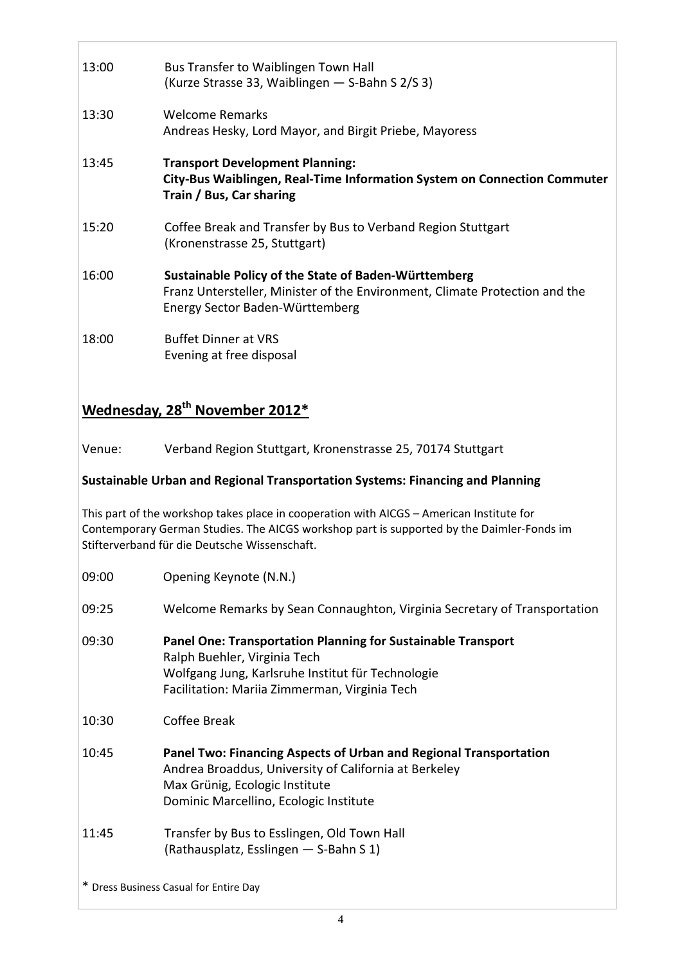| 13:00 | Bus Transfer to Waiblingen Town Hall<br>(Kurze Strasse 33, Waiblingen - S-Bahn S 2/S 3)                                                                                |
|-------|------------------------------------------------------------------------------------------------------------------------------------------------------------------------|
| 13:30 | <b>Welcome Remarks</b><br>Andreas Hesky, Lord Mayor, and Birgit Priebe, Mayoress                                                                                       |
| 13:45 | <b>Transport Development Planning:</b><br>City-Bus Waiblingen, Real-Time Information System on Connection Commuter<br>Train / Bus, Car sharing                         |
| 15:20 | Coffee Break and Transfer by Bus to Verband Region Stuttgart<br>(Kronenstrasse 25, Stuttgart)                                                                          |
| 16:00 | Sustainable Policy of the State of Baden-Württemberg<br>Franz Untersteller, Minister of the Environment, Climate Protection and the<br>Energy Sector Baden-Württemberg |
| 18:00 | <b>Buffet Dinner at VRS</b><br>Evening at free disposal                                                                                                                |

#### **Wednesday, 28th November 2012\***

Venue: Verband Region Stuttgart, Kronenstrasse 25, 70174 Stuttgart

**Sustainable Urban and Regional Transportation Systems: Financing and Planning**

This part of the workshop takes place in cooperation with AICGS – American Institute for Contemporary German Studies. The AICGS workshop part is supported by the Daimler‐Fonds im Stifterverband für die Deutsche Wissenschaft.

- 09:00 Opening Keynote (N.N.)
- 09:25 Welcome Remarks by Sean Connaughton, Virginia Secretary of Transportation
- 09:30 **Panel One: Transportation Planning for Sustainable Transport** Ralph Buehler, Virginia Tech Wolfgang Jung, Karlsruhe Institut für Technologie Facilitation: Mariia Zimmerman, Virginia Tech
- 10:30 Coffee Break
- 10:45 **Panel Two: Financing Aspects of Urban and Regional Transportation** Andrea Broaddus, University of California at Berkeley Max Grünig, Ecologic Institute Dominic Marcellino, Ecologic Institute
- 11:45 Transfer by Bus to Esslingen, Old Town Hall (Rathausplatz, Esslingen — S‐Bahn S 1)

\* Dress Business Casual for Entire Day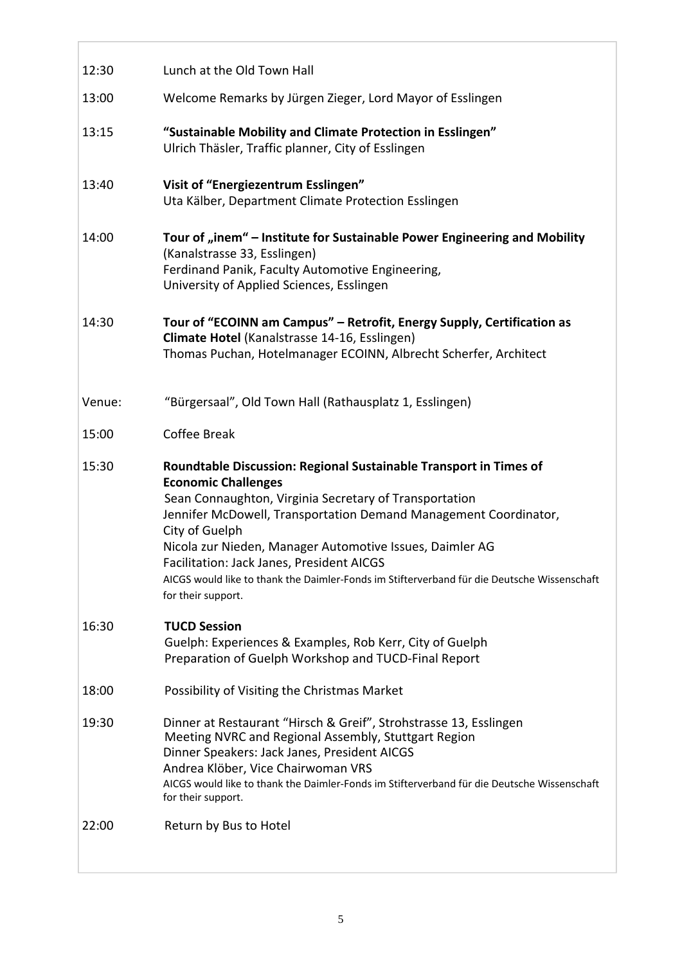| 12:30  | Lunch at the Old Town Hall                                                                                                                                                                                                                                                                                                                                                                                                                                                    |
|--------|-------------------------------------------------------------------------------------------------------------------------------------------------------------------------------------------------------------------------------------------------------------------------------------------------------------------------------------------------------------------------------------------------------------------------------------------------------------------------------|
| 13:00  | Welcome Remarks by Jürgen Zieger, Lord Mayor of Esslingen                                                                                                                                                                                                                                                                                                                                                                                                                     |
| 13:15  | "Sustainable Mobility and Climate Protection in Esslingen"<br>Ulrich Thäsler, Traffic planner, City of Esslingen                                                                                                                                                                                                                                                                                                                                                              |
| 13:40  | Visit of "Energiezentrum Esslingen"<br>Uta Kälber, Department Climate Protection Esslingen                                                                                                                                                                                                                                                                                                                                                                                    |
| 14:00  | Tour of "inem" – Institute for Sustainable Power Engineering and Mobility<br>(Kanalstrasse 33, Esslingen)<br>Ferdinand Panik, Faculty Automotive Engineering,<br>University of Applied Sciences, Esslingen                                                                                                                                                                                                                                                                    |
| 14:30  | Tour of "ECOINN am Campus" - Retrofit, Energy Supply, Certification as<br>Climate Hotel (Kanalstrasse 14-16, Esslingen)<br>Thomas Puchan, Hotelmanager ECOINN, Albrecht Scherfer, Architect                                                                                                                                                                                                                                                                                   |
| Venue: | "Bürgersaal", Old Town Hall (Rathausplatz 1, Esslingen)                                                                                                                                                                                                                                                                                                                                                                                                                       |
| 15:00  |                                                                                                                                                                                                                                                                                                                                                                                                                                                                               |
|        | <b>Coffee Break</b>                                                                                                                                                                                                                                                                                                                                                                                                                                                           |
| 15:30  | Roundtable Discussion: Regional Sustainable Transport in Times of<br><b>Economic Challenges</b><br>Sean Connaughton, Virginia Secretary of Transportation<br>Jennifer McDowell, Transportation Demand Management Coordinator,<br>City of Guelph<br>Nicola zur Nieden, Manager Automotive Issues, Daimler AG<br>Facilitation: Jack Janes, President AICGS<br>AICGS would like to thank the Daimler-Fonds im Stifterverband für die Deutsche Wissenschaft<br>for their support. |
| 16:30  | <b>TUCD Session</b><br>Guelph: Experiences & Examples, Rob Kerr, City of Guelph<br>Preparation of Guelph Workshop and TUCD-Final Report                                                                                                                                                                                                                                                                                                                                       |
| 18:00  | Possibility of Visiting the Christmas Market                                                                                                                                                                                                                                                                                                                                                                                                                                  |
| 19:30  | Dinner at Restaurant "Hirsch & Greif", Strohstrasse 13, Esslingen<br>Meeting NVRC and Regional Assembly, Stuttgart Region<br>Dinner Speakers: Jack Janes, President AICGS<br>Andrea Klöber, Vice Chairwoman VRS<br>AICGS would like to thank the Daimler-Fonds im Stifterverband für die Deutsche Wissenschaft<br>for their support.                                                                                                                                          |